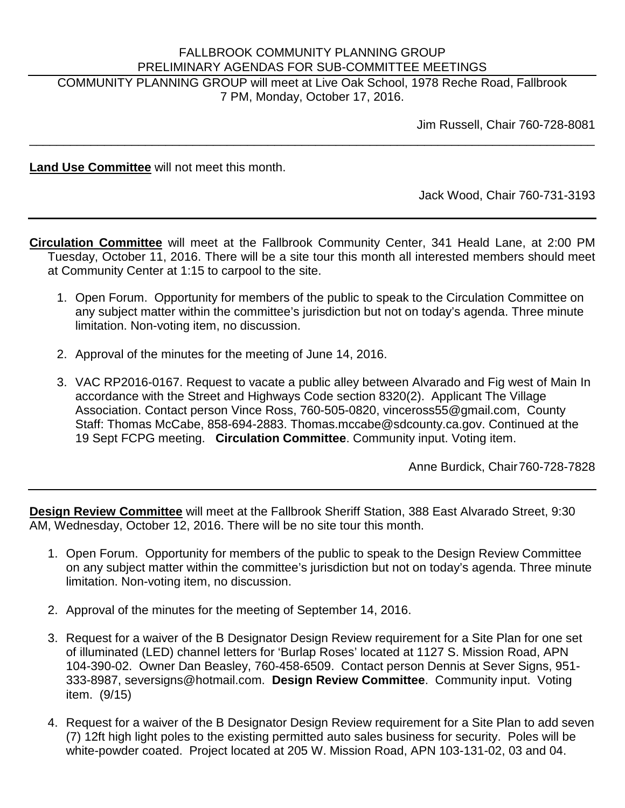## FALLBROOK COMMUNITY PLANNING GROUP PRELIMINARY AGENDAS FOR SUB-COMMITTEE MEETINGS

COMMUNITY PLANNING GROUP will meet at Live Oak School, 1978 Reche Road, Fallbrook 7 PM, Monday, October 17, 2016.

\_\_\_\_\_\_\_\_\_\_\_\_\_\_\_\_\_\_\_\_\_\_\_\_\_\_\_\_\_\_\_\_\_\_\_\_\_\_\_\_\_\_\_\_\_\_\_\_\_\_\_\_\_\_\_\_\_\_\_\_\_\_\_\_\_\_\_\_\_\_\_\_\_\_\_\_\_\_\_\_\_\_\_

Jim Russell, Chair 760-728-8081

**Land Use Committee** will not meet this month.

Jack Wood, Chair 760-731-3193

**Circulation Committee** will meet at the Fallbrook Community Center, 341 Heald Lane, at 2:00 PM Tuesday, October 11, 2016. There will be a site tour this month all interested members should meet at Community Center at 1:15 to carpool to the site.

- 1. Open Forum. Opportunity for members of the public to speak to the Circulation Committee on any subject matter within the committee's jurisdiction but not on today's agenda. Three minute limitation. Non-voting item, no discussion.
- 2. Approval of the minutes for the meeting of June 14, 2016.
- 3. VAC RP2016-0167. Request to vacate a public alley between Alvarado and Fig west of Main In accordance with the Street and Highways Code section 8320(2). Applicant The Village Association. Contact person Vince Ross, 760-505-0820, vinceross55@gmail.com, County Staff: Thomas McCabe, 858-694-2883. Thomas.mccabe@sdcounty.ca.gov. Continued at the 19 Sept FCPG meeting. **Circulation Committee**. Community input. Voting item.

Anne Burdick, Chair760-728-7828

**Design Review Committee** will meet at the Fallbrook Sheriff Station, 388 East Alvarado Street, 9:30 AM, Wednesday, October 12, 2016. There will be no site tour this month.

- 1. Open Forum. Opportunity for members of the public to speak to the Design Review Committee on any subject matter within the committee's jurisdiction but not on today's agenda. Three minute limitation. Non-voting item, no discussion.
- 2. Approval of the minutes for the meeting of September 14, 2016.
- 3. Request for a waiver of the B Designator Design Review requirement for a Site Plan for one set of illuminated (LED) channel letters for 'Burlap Roses' located at 1127 S. Mission Road, APN 104-390-02. Owner Dan Beasley, 760-458-6509. Contact person Dennis at Sever Signs, 951- 333-8987, seversigns@hotmail.com. **Design Review Committee**. Community input. Voting item. (9/15)
- 4. Request for a waiver of the B Designator Design Review requirement for a Site Plan to add seven (7) 12ft high light poles to the existing permitted auto sales business for security. Poles will be white-powder coated. Project located at 205 W. Mission Road, APN 103-131-02, 03 and 04.